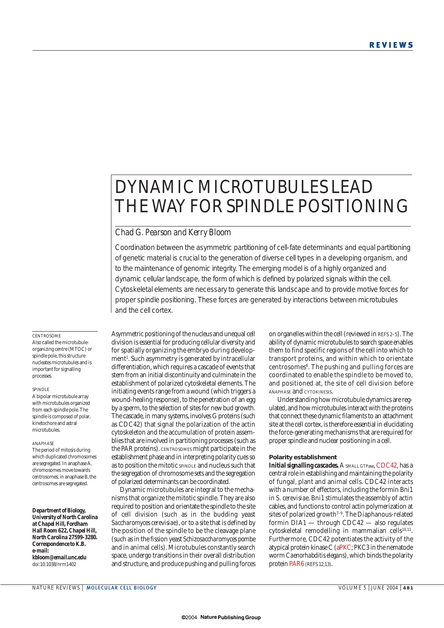# DYNAMIC MICROTUBULES LEAD THE WAY FOR SPINDLE POSITIONING

# *Chad G. Pearson and Kerry Bloom*

Coordination between the asymmetric partitioning of cell-fate determinants and equal partitioning of genetic material is crucial to the generation of diverse cell types in a developing organism, and to the maintenance of genomic integrity. The emerging model is of a highly organized and dynamic cellular landscape, the form of which is defined by polarized signals within the cell. Cytoskeletal elements are necessary to generate this landscape and to provide motive forces for proper spindle positioning. These forces are generated by interactions between microtubules and the cell cortex.

### **CENTROSOME**

Also called the microtubuleorganizing centre (MTOC) or spindle pole, this structure nucleates microtubules and is important for signalling processes.

### SPINDLE

A bipolar microtubule array with microtubules organized from each spindle pole. The spindle is composed of polar, kinetochore and astral microtubules.

#### ANAPHASE

The period of mitosis during which duplicated chromosomes are segregated. In anaphase A, chromosomes move towards centrosomes; in anaphase B, the centrosomes are segregated.

*Department of Biology, University of North Carolina at Chapel Hill, Fordham Hall Room 622, Chapel Hill, North Carolina 27599-3280. Correspondence to K.B. e-mail: kbloom@email.unc.edu* doi:10.1038/nrm1402

Asymmetric positioning of the nucleus and unequal cell division is essential for producing cellular diversity and for spatially organizing the embryo during development<sup>1</sup>. Such asymmetry is generated by intracellular differentiation, which requires a cascade of events that stem from an initial discontinuity and culminate in the establishment of polarized cytoskeletal elements. The initiating events range from a wound (which triggers a wound-healing response), to the penetration of an egg by a sperm, to the selection of sites for new bud growth. The cascade, in many systems, involves G proteins (such as CDC42) that signal the polarization of the actin cytoskeleton and the accumulation of protein assemblies that are involved in partitioning processes (such as the PAR proteins). CENTROSOMES might participate in the establishment phase and in interpreting polarity cues so as to position the mitotic SPINDLE and nucleus such that the segregation of chromosome sets and the segregation of polarized determinants can be coordinated.

Dynamic microtubules are integral to the mechanisms that organize the mitotic spindle. They are also required to position and orientate the spindle to the site of cell division (such as in the budding yeast *Saccharomyces cerevisiae*), or to a site that is defined by the position of the spindle to be the cleavage plane (such as in the fission yeast *Schizosaccharomyces pombe* and in animal cells). Microtubules constantly search space, undergo transitions in their overall distribution and structure, and produce pushing and pulling forces on organelles within the cell (reviewed in REFS 2–5). The ability of dynamic microtubules to search space enables them to find specific regions of the cell into which to transport proteins, and within which to orientate centrosomes<sup>6</sup>. The pushing and pulling forces are coordinated to enable the spindle to be moved to, and positioned at, the site of cell division before ANAPHASE and CYTOKINESIS.

Understanding how microtubule dynamics are regulated, and how microtubules interact with the proteins that connect these dynamic filaments to an attachment site at the cell cortex, is therefore essential in elucidating the force-generating mechanisms that are required for proper spindle and nuclear positioning in a cell.

### **Polarity establishment**

**Initial signalling cascades.** A SMALL GTPase, CDC42, has a central role in establishing and maintaining the polarity of fungal, plant and animal cells. CDC42 interacts with a number of effectors, including the formin Bni1 in *S. cerevisiae*. Bni1 stimulates the assembly of actin cables, and functions to control actin polymerization at sites of polarized growth<sup>7-9</sup>. The Diaphanous-related formin DIA1 — through CDC42 — also regulates cytoskeletal remodelling in mammalian cells<sup>10,11</sup>. Furthermore, CDC42 potentiates the activity of the atypical protein kinase C (aPKC; PKC3 in the nematode worm *Caenorhabditis elegans*), which binds the polarity protein PAR6 (REFS 12,13).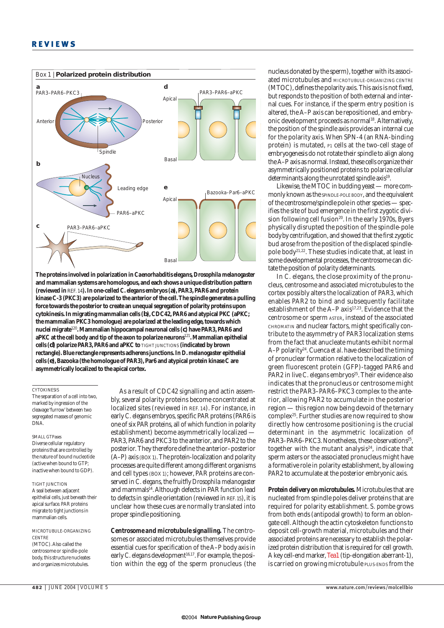

**The proteins involved in polarization in** *Caenorhabditis elegans***,***Drosophila melanogaster* **and mammalian systems are homologous, and each shows a unique distribution pattern (reviewed in** REF. 14**). In one-celled** *C. elegans* **embryos (a), PAR3, PAR6 and protein kinase C-3 (PKC3) are polarized to the anterior of the cell. The spindle generates a pulling force towards the posterior to create an unequal segregation of polarity proteins upon cytokinesis. In migrating mammalian cells (b), CDC42, PAR6 and atypical PKC (aPKC; the mammalian PKC3 homologue) are polarized at the leading edge, towards which nuclei migrate**<sup>120</sup>**. Mammalian hippocampal neuronal cells (c) have PAR3, PAR6 and aPKC at the cell body and tip of the axon to polarize neurons**<sup>121</sup>**. Mammalian epithelial cells (d) polarize PAR3, PAR6 and aPKC to** TIGHT JUNCTIONS **(indicated by brown rectangle). Blue rectangle represents adherens junctions. In** *D.melanogaster* **epithelial cells (e), Bazooka (the homologue of PAR3), Par6 and atypical protein kinase C are asymmetrically localized to the apical cortex.**

# **CYTOKINESIS**

The separation of a cell into two, marked by ingression of the cleavage 'furrow' between two segregated masses of genomic DNA.

# SMALL GTPases

Diverse cellular regulatory proteins that are controlled by the nature of bound nucleotide (active when bound to GTP; inactive when bound to GDP).

### TIGHT JUNCTION A seal between adjacent epithelial cells, just beneath their apical surface. PAR proteins migrate to tight junctions in mammalian cells.

MICROTUBULE-ORGANIZING **CENTRE** (MTOC). Also called the centrosome or spindle-pole body, this structure nucleates and organizes microtubules.

As a result of CDC42 signalling and actin assembly, several polarity proteins become concentrated at localized sites (reviewed in REF. 14). For instance, in early *C. elegans* embryos, specific PAR proteins (PAR6 is one of six PAR proteins, all of which function in polarity establishment) become asymmetrically localized — PAR3, PAR6 and PKC3 to the anterior, and PAR2 to the posterior. They therefore define the anterior–posterior (A–P) axis (BOX 1). The protein-localization and polarity processes are quite different among different organisms and cell types (BOX 1); however, PAR proteins are conserved in *C. elegans*, the fruitfly *Drosophila melanogaster* and mammals<sup>14</sup>. Although defects in PAR function lead to defects in spindle orientation (reviewed in REF. 15), it is unclear how these cues are normally translated into proper spindle positioning.

*Centrosome and microtubule signalling.* The centrosomes or associated microtubules themselves provide essential cues for specification of the A–P body axis in early *C. elegans* development<sup>16,17</sup>. For example, the position within the egg of the sperm pronucleus (the

nucleus donated by the sperm), together with its associated microtubules and MICROTUBULE-ORGANIZING CENTRE (MTOC), defines the polarity axis. This axis is not fixed, but responds to the position of both external and internal cues. For instance, if the sperm entry position is altered, the A–P axis can be repositioned, and embryonic development proceeds as normal<sup>18</sup>. Alternatively, the position of the spindle axis provides an internal cue for the polarity axis. When SPN-4 (an RNA-binding protein) is mutated, P1 cells at the two-cell stage of embryogenesis do not rotate their spindle to align along the A–P axis as normal. Instead, these cells organize their asymmetrically positioned proteins to polarize cellular determinants along the unrotated spindle axis<sup>19</sup>.

Likewise, the MTOC in budding yeast — more commonly known as the SPINDLE-POLE BODY, and the equivalent of the centrosome/spindle pole in other species — specifies the site of bud emergence in the first zygotic division following cell fusion<sup>20</sup>. In the early 1970s, Byers physically disrupted the position of the spindle-pole bodyby centrifugation, and showed that the first zygotic bud arose from the position of the displaced spindlepole body21,22. These studies indicate that, at least in some developmental processes, the centrosome can dictate the position of polarity determinants.

In *C. elegans*, the close proximity of the pronucleus, centrosome and associated microtubules to the cortex possibly alters the localization of PAR3, which enables PAR2 to bind and subsequently facilitate establishment of the A-P axis<sup>17,23</sup>. Evidence that the centrosome or sperm ASTER, instead of the associated CHROMATIN and nuclear factors, might specifically contribute to the asymmetry of PAR3 localization stems from the fact that anucleate mutants exhibit normal A–P polarity24. Cuenca *et al*. have described the timing of pronuclear formation relative to the localization of green fluorescent protein (GFP)-tagged PAR6 and PAR2 in live *C. elegans* embryos<sup>25</sup>. Their evidence also indicates that the pronucleus or centrosome might restrict the PAR3–PAR6–PKC3 complex to the anterior, allowing PAR2 to accumulate in the posterior region — this region now being devoid of the ternary complex25. Further studies are now required to show directly how centrosome positioning is the crucial determinant in the asymmetric localization of PAR3–PAR6–PKC3. Nonetheless, these observations<sup>25</sup>, together with the mutant analysis $24$ , indicate that sperm asters or the associated pronucleus might have a formative role in polarity establishment, by allowing PAR2 to accumulate at the posterior embryonic axis.

*Protein delivery on microtubules.* Microtubules that are nucleated from spindle poles deliver proteins that are required for polarity establishment. *S. pombe* grows from both ends (antipodal growth) to form an oblongate cell. Although the actin cytoskeleton functions to deposit cell-growth material, microtubules and their associated proteins are necessary to establish the polarized protein distribution that is required for cell growth. A key cell-end marker, Tea1 (tip-elongation aberrant-1), is carried on growing microtubule PLUS-ENDS from the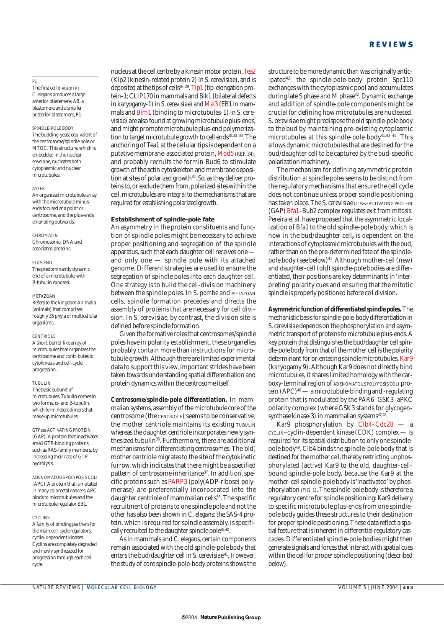# $p_1$

The first cell division in *C. elegans* produces a large anterior blastemere, AB, a blastomere and a smaller posterior blastomere, P1.

## SPINDLE-POLE BODY

The budding-yeast equivalent of the centrosome/spindle pole or MTOC. This structure, which is embedded in the nuclear envelope, nucleates both cytoplasmic and nuclear microtubules.

### ASTER

An organized microtubule array, with the microtubule minusends focused at a point or centrosome, and the plus-ends emanating outwards.

### **CHROMATIN** Chromosomal DNA and associated proteins.

PLUS-END

The predominantly dynamic end of a microtubule, with β-tubulin exposed.

### METAZOAN

Refers to the kingdom Animalia (animals) that comprises roughly 35 phyla of multicellular organisms.

### CENTRIOLE

A short, barrel-like array of microtubules that organizes the centrosome and contributes to cytokinesis and cell-cycle progression.

### TUBULIN

The basic subunit of microtubules. Tubulin comes in two forms,α- and β-tubulin, which form heterodimers that make up microtubules.

GTPase-ACTIVATING PROTEIN (GAP). A protein that inactivates small GTP-binding proteins, such as RAS-family members, by increasing their rate of GTP hydrolysis.

ADENOMATOUS POLYPOSIS COLI (APC).A protein that is mutated in many colorectal cancers. APC binds to microtubules and the microtubule regulator EB1.

### **CYCLINS**

A family of binding partners for the main cell-cycle regulators, cyclin-dependent kinases. Cyclins are completely degraded and newly synthesized for progression through each cell cycle.

nucleus at the cell centre by a kinesin motor protein,Tea2 (Kip2 (kinesin-related protein 2) in *S. cerevisiae*), and is deposited at the tips of cells<sup>26-29</sup>. Tip1 (tip-elongation protein-1; CLIP170 in mammals and Bik1 (bilateral defects in karyogamy-1) in *S. cerevisiae*) and Mal3 (EB1 in mammals and Bim1 (binding to microtubules-1) in *S. cerevisiae*) are also found at growing microtubule plus-ends, and might promote microtubule plus-end polymerization to target microtubule growth to cell ends<sup>28,30-33</sup>. The anchoring of Tea1 at the cellular tips is dependent on a putative membrane-associated protein, Mod5 (REF. 34), and probably recruits the formin Bud6 to stimulate growth of the actin cytoskeleton and membrane deposition at sites of polarized growth<sup>35</sup>. So, as they deliver proteins to, or exclude them from, polarized sites within the cell, microtubules are integral to the mechanisms that are required for establishing polarized growth.

# **Establishment of spindle-pole fate**

An asymmetry in the protein constituents and function of spindle poles might be necessary to achieve proper positioning and segregation of the spindle apparatus, such that each daughter cell receives one and only one — spindle pole with its attached genome. Different strategies are used to ensure the segregation of spindle poles into each daughter cell. One strategy is to build the cell-division machinery between the spindle poles. In *S. pombe* and METAZOAN cells, spindle formation precedes and directs the assembly of proteins that are necessary for cell division. In *S. cerevisiae*, by contrast, the division site is defined before spindle formation.

Given the formative roles that centrosomes/spindle poles have in polarity establishment, these organelles probably contain more than instructions for microtubule growth. Although there are limited experimental data to support this view, important strides have been taken towards understanding spatial differentiation and protein dynamics within the centrosome itself.

*Centrosome/spindle-pole differentiation.* In mammalian systems, assembly of the microtubule core of the centrosome (the CENTRIOLE) seems to be conservative; the mother centriole maintains its existing TUBULIN whereas the daughter centriole incorporates newly synthesized tubulin<sup>36</sup>. Furthermore, there are additional mechanisms for differentiating centrosomes. The 'old', mother centriole migrates to the site of the cytokinetic furrow, which indicates that there might be a specified pattern of centrosome inheritance<sup>37</sup>. In addition, specific proteins such as PARP3 (poly(ADP-ribose) polymerase) are preferentially incorporated into the daughter centriole of mammalian cells<sup>38</sup>. The specific recruitment of proteins to one spindle pole and not the other has also been shown in *C. elegans*: the SAS-4 protein, which is required for spindle assembly, is specifically recruited to the daughter spindle pole<sup>39,40</sup>

As in mammals and *C. elegans*, certain components remain associated with the old spindle-pole body that enters the bud/daughter cell in *S. cerevisiae*<sup>41</sup>. However, the study of core spindle-pole-body proteins shows the structure to be more dynamic than was originally anticipated42: the spindle-pole-body protein Spc110 exchanges with the cytoplasmic pool and accumulates during late S phase and M phase<sup>42</sup>. Dynamic exchange and addition of spindle-pole components might be crucial for defining how microtubules are nucleated. *S. cerevisiae* might predispose the old spindle-pole body to the bud by maintaining pre-existing cytoplasmic microtubules at this spindle-pole body $41,43-45$ . This allows dynamic microtubules that are destined for the bud/daughter cell to be captured by the bud-specific polarization machinery.

The mechanism for defining asymmetric protein distribution at spindle poles seems to be distinct from the regulatory mechanisms that ensure the cell cycle does not continue unless proper spindle positioning has taken place. The *S. cerevisiae* GTPase-ACTIVATING PROTEIN (GAP) Bfa1–Bub2 complex regulates exit from mitosis. Pereira *et al*. have proposed that the asymmetric localization of Bfa1 to the old spindle-pole body, which is now in the bud/daughter cell**,** is dependent on the interactions of cytoplasmic microtubules with the bud, rather than on the pre-determined fate of the spindlepole body (see below)<sup>41</sup>. Although mother-cell (new) and daughter-cell (old) spindle-pole bodies are differentiated, their positions are key determinants in 'interpreting' polarity cues and ensuring that the mitotic spindle is properly positioned before cell division.

*Asymmetric function of differentiated spindle poles.* The mechanistic basis for spindle-pole-body differentiation in *S. cerevisiae* depends on the phosphorylation and asymmetric transport of proteins to microtubule plus-ends.A key protein that distinguishes the bud/daughter cell spindle-pole body from that of the mother cell is the polarity determinant for orientating spindle microtubules, Kar9 (karyogamy 9). Although Kar9 does not directly bind microtubules, it shares limited homology with the carboxy-terminal region of ADENOMATOUS POLYPOSIS COLI protein  $(APC)^{46}$  — a microtubule-binding and -regulating protein that is modulated by the PAR6–GSK3–aPKC polarity complex (where GSK3 stands for glycogensynthase kinase-3) in mammalian systems $47,48$ .

Kar9 phosphorylation by Clb4–Cdc28 — a CYCLIN–cyclin-dependent kinase (CDK) complex — is required for its spatial distribution to only one spindlepole body49. Clb4 binds the spindle-pole body that is destined for the mother cell, thereby restricting unphosphorylated (active) Kar9 to the old, daughter-cellbound spindle-pole body, because the Kar9 at the mother-cell spindle-pole body is 'inactivated' by phosphorylation (FIG. 1). The spindle-pole body is therefore a regulatory centre for spindle positioning: Kar9 delivery to specific microtubule plus-ends from one spindlepole body guides these structures to their destination for proper spindle positioning. These data reflect a spatial feature that is inherent in differential regulatory cascades. Differentiated spindle-pole bodies might then generate signals and forces that interact with spatial cues within the cell for proper spindle positioning (described below).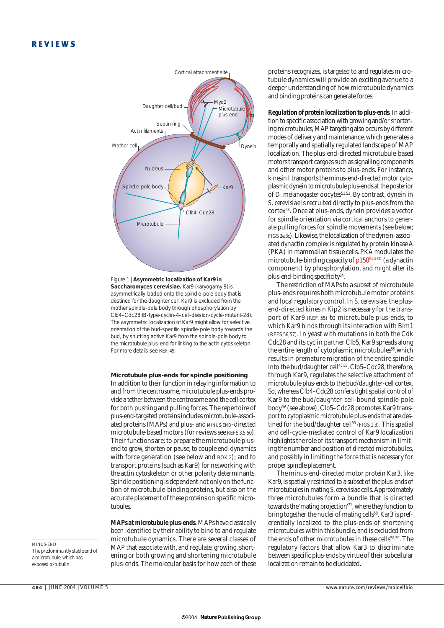



### **Microtubule plus-ends for spindle positioning**

In addition to their function in relaying information to and from the centrosome, microtubule plus-ends provide a tether between the centrosome and the cell cortex for both pushing and pulling forces. The repertoire of plus-end-targeted proteins includes microtubule-associated proteins (MAPs) and plus- and MINUS-END-directed microtubule-based motors (for reviews see REFS 3,5,50). Their functions are: to prepare the microtubule plusend to grow, shorten or pause; to couple end-dynamics with force generation (see below and BOX 2); and to transport proteins (such as Kar9) for networking with the actin cytoskeleton or other polarity determinants. Spindle positioning is dependent not only on the function of microtubule-binding proteins, but also on the accurate placement of these proteins on specific microtubules.

*MAPs at microtubule plus-ends.* MAPs have classically been identified by their ability to bind to and regulate microtubule dynamics. There are several classes of MAP that associate with, and regulate, growing, shortening or both growing and shortening microtubule plus-ends. The molecular basis for how each of these proteins recognizes, is targeted to and regulates microtubule dynamics will provide an exciting avenue to a deeper understanding of how microtubule dynamics and binding proteins can generate forces.

*Regulation of protein localization to plus-ends.* In addition to specific association with growing and/or shortening microtubules, MAP targeting also occurs by different modes of delivery and maintenance, which generates a temporally and spatially regulated landscape of MAP localization. The plus-end-directed microtubule-based motors transport cargoes such as signalling components and other motor proteins to plus-ends. For instance, kinesin I transports the minus-end-directed motor cytoplasmic dynein to microtubule plus-ends at the posterior of *D. melanogaster* oocytes<sup>51,52</sup>. By contrast, dynein in *S. cerevisiae*is recruited directly to plus-ends from the cortex53. Once at plus-ends, dynein provides a vector for spindle orientation via cortical anchors to generate pulling forces for spindle movements (see below; FIGS 2e,3c). Likewise, the localization of the dynein-associated dynactin complex is regulated by protein kinase A (PKA) in mammalian tissue cells. PKA modulates the microtubule-binding capacity of p150<sup>GLUED</sup> (a dynactin component) by phosphorylation, and might alter its plus-end-binding specificity<sup>54</sup>.

The restriction of MAPs to a subset of microtubule plus-ends requires both microtubule motor proteins and local regulatory control. In *S. cerevisiae*, the plusend-directed kinesin Kip2 is necessary for the transport of Kar9 (REF. 55) to microtubule plus-ends, to which Kar9 binds through its interaction with Bim1 (REFS 56,57). In yeast with mutations in both the Cdk Cdc28 and its cyclin partner Clb5, Kar9 spreads along the entire length of cytoplasmic microtubules<sup>55</sup>, which results in premature migration of the entire spindle into the bud/daughter cell<sup>45,55</sup>. Clb5–Cdc28, therefore, through Kar9, regulates the selective attachment of microtubule plus-ends to the bud/daughter-cell cortex. So, whereas Clb4–Cdc28 confers tight spatial control of Kar9 to the bud/daughter-cell-bound spindle-pole body49 (see above), Clb5–Cdc28 promotes Kar9 transport to cytoplasmic microtubule plus-ends that are destined for the bud/daughter cell<sup>55</sup> (FIGS 1,3). This spatial and cell-cycle-mediated control of Kar9 localization highlights the role of its transport mechanism in limiting the number and position of directed microtubules, and possibly in limiting the force that is necessary for proper spindle placement.

The minus-end-directed motor protein Kar3, like Kar9, is spatially restricted to a subset of the plus-ends of microtubules in mating *S. cerevisiae* cells.Approximately three microtubules form a bundle that is directed towards the 'mating projection'21, where they function to bring together the nuclei of mating cells<sup>58</sup>. Kar3 is preferentially localized to the plus-ends of shortening microtubules within this bundle, and is excluded from the ends of other microtubules in these cells<sup>58,59</sup>. The regulatory factors that allow Kar3 to discriminate between specific plus-ends by virtue of their subcellular localization remain to be elucidated.

MINUS-END

The predominantly stable end of a microtubule, which has exposed α-tubulin.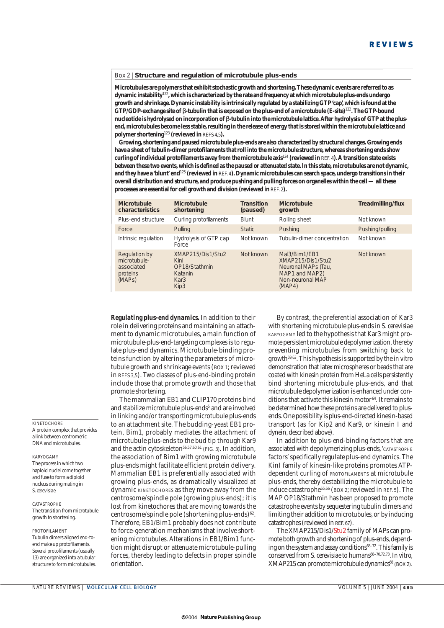Box 2 | **Structure and regulation of microtubule plus-ends**

**Microtubules are polymers that exhibit stochastic growth and shortening. These dynamic events are referred to as dynamic instability**<sup>122</sup>**, which is characterized by the rate and frequency at which microtubule plus-ends undergo growth and shrinkage. Dynamic instability is intrinsically regulated by a stabilizing GTP 'cap', which is found at the GTP/GDP-exchange site of** β**-tubulin that is exposed on the plus-end of a microtubule (E-site)**<sup>122</sup>**. The GTP-bound nucleotide is hydrolysed on incorporation of** β**-tubulin into the microtubule lattice. After hydrolysis of GTP at the plusend, microtubules become less stable, resulting in the release of energy that is stored within the microtubule lattice and polymer shortening**<sup>123</sup> **(reviewed in** REFS 4,5**).**

**Growing, shortening and paused microtubule plus-ends are also characterized by structural changes. Growing ends have a sheet of tubulin-dimer protofilaments that roll into the microtubule structure, whereas shortening ends show curling of individual protofilaments away from the microtubule axis**<sup>124</sup> **(reviewed in** REF. 4**). A transition state exists between these two events, which is defined as the paused or attenuated state. In this state, microtubules are not dynamic, and they have a 'blunt' end**<sup>125</sup> **(reviewed in** REF. 4**). Dynamic microtubules can search space, undergo transitions in their overall distribution and structure, and produce pushing and pulling forces on organelles within the cell — all these processes are essential for cell growth and division (reviewed in** REF. 2**).**

| Microtubule<br>characteristics                                                 | Microtubule<br>shortening                                             | <b>Transition</b><br>(paused) | Microtubule<br>growth                                                                                     | Treadmilling/flux |
|--------------------------------------------------------------------------------|-----------------------------------------------------------------------|-------------------------------|-----------------------------------------------------------------------------------------------------------|-------------------|
| Plus-end structure                                                             | Curling protofilaments                                                | Blunt                         | Rolling sheet                                                                                             | Not known         |
| Force                                                                          | Pulling                                                               | Static.                       | Pushing                                                                                                   | Pushing/pulling   |
| Intrinsic regulation                                                           | Hydrolysis of GTP cap<br>Force                                        | Not known                     | Tubulin-dimer concentration                                                                               | Not known         |
| Regulation by<br>microtubule-<br>associated<br>proteins<br>(MAP <sub>S</sub> ) | XMAP215/Dis1/Stu2<br>Kinl<br>OP18/Stathmin<br>Katanin<br>Kar3<br>Kip3 | Not known                     | Mal3/Bim1/EB1<br>XMAP215/Dis1/Stu2<br>Neuronal MAPs (Tau,<br>MAP1 and MAP2)<br>Non-neuronal MAP<br>(MAP4) | Not known         |

*Regulating plus-end dynamics.* In addition to their role in delivering proteins and maintaining an attachment to dynamic microtubules, a main function of microtubule-plus-end-targeting complexes is to regulate plus-end dynamics. Microtubule-binding proteins function by altering the parameters of microtubule growth and shrinkage events (BOX 1; reviewed in REFS 3,5). Two classes of plus-end-binding protein include those that promote growth and those that promote shortening.

The mammalian EB1 and CLIP170 proteins bind and stabilize microtubule plus-ends<sup>5</sup> and are involved in linking and/or transporting microtubule plus-ends to an attachment site. The budding-yeast EB1 protein, Bim1, probably mediates the attachment of microtubule plus-ends to the bud tip through Kar9 and the actin cytoskeleton<sup>56,57,60,61</sup> (FIG. 3). In addition, the association of Bim1 with growing microtubule plus-ends might facilitate efficient protein delivery. Mammalian EB1 is preferentially associated with growing plus-ends, as dramatically visualized at dynamic KINETOCHORES as they move away from the centrosome/spindle pole (growing plus-ends); it is lost from kinetochores that are moving towards the centrosome/spindle pole (shortening plus-ends)<sup>62</sup>. Therefore, EB1/Bim1 probably does not contribute to force-generation mechanisms that involve shortening microtubules. Alterations in EB1/Bim1 function might disrupt or attenuate microtubule-pulling forces, thereby leading to defects in proper spindle orientation.

By contrast, the preferential association of Kar3 with shortening microtubule plus-ends in *S. cerevisiae* KARYOGAMY led to the hypothesis that Kar3 might promote persistent microtubule depolymerization, thereby preventing microtubules from switching back to growth59,63. This hypothesis is supported by the *in vitro* demonstration that latex microspheres or beads that are coated with kinesin protein from HeLa cells persistently bind shortening microtubule plus-ends, and that microtubule depolymerization is enhanced under conditions that activate this kinesin motor<sup>64</sup>. It remains to be determined how these proteins are delivered to plusends. One possibility is plus-end-directed kinesin-based transport (as for Kip2 and Kar9, or kinesin I and dynein, described above).

In addition to plus-end-binding factors that are associated with depolymerizing plus-ends,'CATASTROPHE factors' specifically regulate plus-end dynamics. The KinI family of kinesin-like proteins promotes ATPdependent curling of PROTOFILAMENTS at microtubule plus-ends, thereby destabilizing the microtubule to induce catastrophe65,66 (BOX 2; reviewed in REF. 5). The MAP OP18/Stathmin has been proposed to promote catastrophe events by sequestering tubulin dimers and limiting their addition to microtubules, or by inducing catastrophes (reviewed in REF. 67).

The XMAP215/Dis1/Stu2 family of MAPs can promote both growth and shortening of plus-ends, depending on the system and assay conditions<sup>68-72</sup>. This family is conserved from *S. cerevisiae* to humans<sup>68-70,72,73</sup>. *In vitro*, XMAP215 can promote microtubule dynamics<sup>68</sup> (BOX 2).

### **KINETOCHORE**

A protein complex that provides a link between centromeric DNA and microtubules.

# KARYOGAMY

The process in which two haploid nuclei come together and fuse to form a diploid nucleus during mating in *S. cerevisiae*.

**CATASTROPHE** The transition from microtubule growth to shortening.

PROTOFILAMENT Tubulin dimers aligned end-toend make up protofilaments. Several protofilaments (usually 13) are organized into a tubular structure to form microtubules.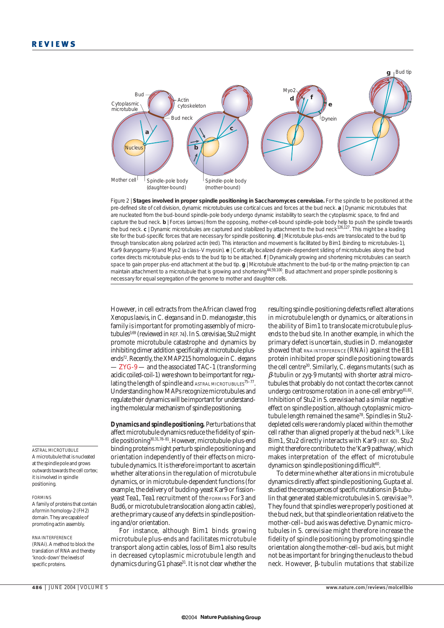

Figure 2 | **Stages involved in proper spindle positioning in** *Saccharomyces cerevisiae***.** For the spindle to be positioned at the pre-defined site of cell division, dynamic microtubules use cortical cues and forces at the bud neck. **a** | Dynamic microtubules that are nucleated from the bud-bound spindle-pole body undergo dynamic instability to search the cytoplasmic space, to find and capture the bud neck. **b** | Forces (arrows) from the opposing, mother-cell-bound spindle-pole body help to push the spindle towards the bud neck. **c** | Dynamic microtubules are captured and stabilized by attachment to the bud neck<sup>126,127</sup>. This might be a loading site for the bud-specific forces that are necessary for spindle positioning. **d** | Microtubule plus-ends are translocated to the bud tip through translocation along polarized actin (red). This interaction and movement is facilitated by Bim1 (binding to microtubules-1), Kar9 (karyogamy-9) and Myo2 (a class-V myosin). **e** | Cortically localized dynein-dependent sliding of microtubules along the bud cortex directs microtubule plus-ends to the bud tip to be attached. **f** | Dynamically growing and shortening microtubules can search space to gain proper plus-end attachment at the bud tip. **g** | Microtubule attachment to the bud-tip or the mating-projection tip can maintain attachment to a microtubule that is growing and shortening<sup>44,59,100</sup>. Bud attachment and proper spindle positioning is necessary for equal segregation of the genome to mother and daughter cells.

However, in cell extracts from the African clawed frog *Xenopus laevis*, in *C. elegans* and in *D. melanogaster*,this family is important for promoting assembly of microtubules3,69 (reviewed in REF. 74). In *S. cerevisiae*, Stu2 might promote microtubule catastrophe and dynamics by inhibiting dimer addition specifically at microtubule plusends72. Recently, the XMAP215 homologue in *C. elegans* - ZYG-9 — and the associated TAC-1 (transforming acidic coiled-coil-1) were shown to be important for regulating the length of spindle and ASTRAL MICROTUBULES<sup>75-77</sup>. Understanding how MAPs recognize microtubules and regulate their dynamics will be important for understanding the molecular mechanism of spindle positioning.

*Dynamics and spindle positioning.* Perturbations that affect microtubule dynamics reduce the fidelity of spindle positioning30,31,78–81. However, microtubule-plus-end binding proteins might perturb spindle positioning and orientation independently of their effects on microtubule dynamics. It is therefore important to ascertain whether alterations in the regulation of microtubule dynamics, or in microtubule-dependent functions (for example, the delivery of budding-yeast Kar9 or fissionyeast Tea1, Tea1 recruitment of the FORMINS For3 and Bud6, or microtubule translocation along actin cables), are the primary cause of any defects in spindle positioning and/or orientation.

For instance, although Bim1 binds growing microtubule plus-ends and facilitates microtubule transport along actin cables, loss of Bim1 also results in decreased cytoplasmic microtubule length and dynamics during G1 phase<sup>31</sup>. It is not clear whether the

resulting spindle-positioning defects reflect alterations in microtubule length or dynamics, or alterations in the ability of Bim1 to translocate microtubule plusends to the bud site. In another example, in which the primary defect is uncertain, studies in *D. melanogaster* showed that RNA INTERFERENCE (RNAi) against the EB1 protein inhibited proper spindle positioning towards the cell centre30. Similarly, *C. elegans* mutants (such as β*-tubulin* or *zyg-9* mutants) with shorter astral microtubules that probably do not contact the cortex cannot undergo centrosome rotation in a one-cell embryo $81,82$ . Inhibition of Stu2 in *S. cerevisiae* had a similar negative effect on spindle position, although cytoplasmic microtubule length remained the same<sup>78</sup>. Spindles in Stu2depleted cells were randomly placed within the mother cell rather than aligned properly at the bud neck<sup>78</sup>. Like Bim1, Stu2 directly interacts with Kar9 (REF. 60). Stu2 might therefore contribute to the 'Kar9 pathway', which makes interpretation of the effect of microtubule dynamics on spindle positioning difficult<sup>60</sup>.

To determine whether alterations in microtubule dynamics directly affect spindle positioning, Gupta *et al*. studied the consequences of specific mutations in β-tubulin that generated stable microtubules in *S. cerevisiae* 79. They found that spindles were properly positioned at the bud neck, but that spindle orientation relative to the mother-cell–bud axis was defective. Dynamic microtubules in *S. cerevisiae* might therefore increase the fidelity of spindle positioning by promoting spindle orientation along the mother-cell–bud axis, but might not be as important for bringing the nucleus to the bud neck. However, β-tubulin mutations that stabilize

# ASTRAL MICROTUBULE

A microtubule that is nucleated at the spindle pole and grows outwards towards the cell cortex; it is involved in spindle positioning.

#### FORMINS

A family of proteins that contain a formin homology-2 (FH2) domain. They are capable of promoting actin assembly.

RNA INTERFERENCE (RNAi). A method to block the translation of RNA and thereby 'knock-down' the levels of specific proteins.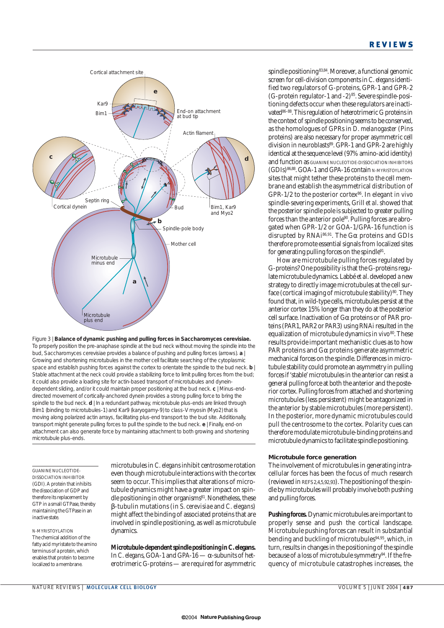

Figure 3 | **Balance of dynamic pushing and pulling forces in** *Saccharomyces cerevisiae***.** To properly position the pre-anaphase spindle at the bud neck without moving the spindle into the bud, *Saccharomyces cerevisiae* provides a balance of pushing and pulling forces (arrows). **a** | Growing and shortening microtubules in the mother cell facilitate searching of the cytoplasmic space and establish pushing forces against the cortex to orientate the spindle to the bud neck. **b** | Stable attachment at the neck could provide a stabilizing force to limit pulling forces from the bud; it could also provide a loading site for actin-based transport of microtubules and dyneindependent sliding, and/or it could maintain proper positioning at the bud neck. **c** | Minus-enddirected movement of cortically-anchored dynein provides a strong pulling force to bring the spindle to the bud neck. **d** | In a redundant pathway, microtubule plus-ends are linked through Bim1 (binding to microtubules-1) and Kar9 (karyogamy-9) to class-V myosin (Myo2) that is moving along polarized actin arrays, facilitating plus-end transport to the bud site. Additionally, transport might generate pulling forces to pull the spindle to the bud neck. **e** | Finally, end-on attachment can also generate force by maintaining attachment to both growing and shortening microtubule plus-ends.

GUANINE NUCLEOTIDE-DISSOCIATION INHIBITOR (GDI).A protein that inhibits the dissociation of GDP and therefore its replacement by GTP in a small GTPase, thereby maintaining the GTPase in an inactive state.

*N*-MYRISTOYLATION The chemical addition of the fatty acid myristate to the amino terminus of a protein, which enables that protein to become localized to a membrane

microtubules in *C. elegans* inhibit centrosome rotation even though microtubule interactions with the cortex seem to occur. This implies that alterations of microtubule dynamics might have a greater impact on spindle positioning in other organisms<sup>81</sup>. Nonetheless, these β-tubulin mutations (in *S. cerevisiae* and *C. elegans*) might affect the binding of associated proteins that are involved in spindle positioning, as well as microtubule dynamics.

*Microtubule-dependent spindle positioning in* **C. elegans.** In *C. elegans*, GOA-1 and GPA-16 — α-subunits of heterotrimeric G-proteins — are required for asymmetric spindle positioning 83,84. Moreover, a functional genomic screen for cell-division components in *C. elegans* identified two regulators of G-proteins, GPR-1 and GPR-2 (G-protein regulator-1 and -2)85. Severe spindle-positioning defects occur when these regulators are inactivated<sup>86–88</sup>. This regulation of heterotrimeric G proteins in the context of spindle positioning seems to be conserved, as the homologues of GPRs in *D. melanogaster* (Pins proteins) are also necessary for proper asymmetric cell division in neuroblasts<sup>89</sup>. GPR-1 and GPR-2 are highly identical at the sequence level (97% amino-acid identity) and function as GUANINE NUCLEOTIDE-DISSOCIATION INHIBITORS (GDIs)86,88. GOA-1 and GPA-16 contain *N*-MYRISTOYLATION sites that might tether these proteins to the cell membrane and establish the asymmetrical distribution of GPR-1/2 to the posterior cortex<sup>86</sup>. In elegant *in vivo* spindle-severing experiments, Grill *et al*.showed that the posterior spindle pole is subjected to greater pulling forces than the anterior pole $90$ . Pulling forces are abrogated when GPR-1/2 or GOA-1/GPA-16 function is disrupted by RNAi86,91. The Gα proteins and GDIs therefore promote essential signals from localized sites for generating pulling forces on the spindle<sup>91</sup>.

How are microtubule pulling forces regulated by G-proteins? One possibility is that the G-proteins regulate microtubule dynamics. Labbé *et al*. developed a new strategy to directly image microtubules at the cell surface (cortical imaging of microtubule stability)<sup>80</sup>. They found that, in wild-type cells, microtubules persist at the anterior cortex 15% longer than they do at the posterior cell surface. Inactivation of Gα proteins or of PAR proteins (PAR1, PAR2 or PAR3) using RNAi resulted in the equalization of microtubule dynamics *in vivo*<sup>80</sup>. These results provide important mechanistic clues as to how PAR proteins and  $G\alpha$  proteins generate asymmetric mechanical forces on the spindle. Differences in microtubule stability could promote an asymmetry in pulling forces if 'stable' microtubules in the anterior can resist a general pulling force at both the anterior and the posterior cortex. Pulling forces from attached and shortening microtubules (less persistent) might be antagonized in the anterior by stable microtubules (more persistent). In the posterior, more dynamic microtubules could pull the centrosome to the cortex. Polarity cues can therefore modulate microtubule-binding proteins and microtubule dynamics to facilitate spindle positioning.

### **Microtubule force generation**

The involvement of microtubules in generating intracellular forces has been the focus of much research (reviewed in REFS 2,4,5,92,93). The positioning of the spindle by microtubules will probably involve both pushing and pulling forces.

*Pushing forces.* Dynamic microtubules are important to properly sense and push the cortical landscape. Microtubule pushing forces can result in substantial bending and buckling of microtubules<sup>94,95</sup>, which, in turn, results in changes in the positioning of the spindle because of a loss of microtubule symmetry<sup>94</sup>. If the frequency of microtubule catastrophes increases, the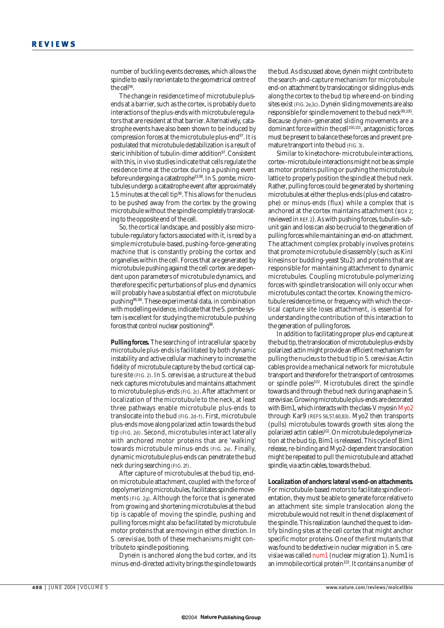number of buckling events decreases, which allows the spindle to easily reorientate to the geometrical centre of the cell<sup>96</sup>

The change in residence time of microtubule plusends at a barrier, such as the cortex, is probably due to interactions of the plus-ends with microtubule regulators that are resident at that barrier. Alternatively, catastrophe events have also been shown to be induced by compression forces at the microtubule plus-end97. It is postulated that microtubule destabilization is a result of steric inhibition of tubulin-dimer addition<sup>97</sup>. Consistent with this, *in vivo* studies indicate that cells regulate the residence time at the cortex during a pushing event before undergoing a catastrophe33,98. In *S. pombe*, microtubules undergo a catastrophe event after approximately 1.5 minutes at the cell tip $98$ . This allows for the nucleus to be pushed away from the cortex by the growing microtubule without the spindle completely translocating to the opposite end of the cell.

So, the cortical landscape, and possibly also microtubule-regulatory factors associated with it, is read by a simple microtubule-based, pushing-force-generating machine that is constantly probing the cortex and organelles within the cell. Forces that are generated by microtubule pushing against the cell cortex are dependent upon parameters of microtubule dynamics, and therefore specific perturbations of plus-end dynamics will probably have a substantial effect on microtubule pushing96,98. These experimental data, in combination with modelling evidence, indicate that the *S. pombe* system is excellent for studying the microtubule-pushing forces that control nuclear positioning<sup>98</sup>.

*Pulling forces.* The searching of intracellular space by microtubule plus-ends is facilitated by both dynamic instability and active cellular machinery to increase the fidelity of microtubule capture by the bud cortical capture site (FIG. 2). In *S. cerevisiae*, a structure at the bud neck captures microtubules and maintains attachment to microtubule plus-ends (FIG. 2c). After attachment or localization of the microtubule to the neck, at least three pathways enable microtubule plus-ends to translocate into the bud (FIG. 2d–f). First, microtubule plus-ends move along polarized actin towards the bud tip (FIG. 2d). Second, microtubules interact laterally with anchored motor proteins that are 'walking' towards microtubule minus-ends (FIG. 2e). Finally, dynamic microtubule plus-ends can penetrate the bud neck during searching (FIG. 2f).

After capture of microtubules at the bud tip, endon microtubule attachment, coupled with the force of depolymerizing microtubules, facilitates spindle movements (FIG. 2g). Although the force that is generated from growing and shortening microtubules at the bud tip is capable of moving the spindle, pushing and pulling forces might also be facilitated by microtubule motor proteins that are moving in either direction. In *S. cerevisiae*, both of these mechanisms might contribute to spindle positioning.

Dynein is anchored along the bud cortex, and its minus-end-directed activity brings the spindle towards the bud. As discussed above, dynein might contribute to the search-and-capture mechanism for microtubule end-on attachment by translocating or sliding plus-ends along the cortex to the bud tip where end-on binding sites exist (FIG. 2e,3c). Dynein sliding movements are also responsible for spindle movement to the bud neck<sup>99,100</sup>. Because dynein-generated sliding movements are a dominant force within the cell<sup>100,101</sup>, antagonistic forces must be present to balance these forces and prevent premature transport into the bud (FIG. 3).

Similar to kinetochore–microtubule interactions, cortex–microtubule interactions might not be as simple as motor proteins pulling or pushing the microtubule lattice to properly position the spindle at the bud neck. Rather, pulling forces could be generated by shortening microtubules at either the plus-ends (plus-end catastrophe) or minus-ends (flux) while a complex that is anchored at the cortex maintains attachment (BOX 2; reviewed in REF. 2). As with pushing forces, tubulin-subunit gain and loss can also be crucial to the generation of pulling forces while maintaining an end-on attachment. The attachment complex probably involves proteins that promote microtubule disassembly (such as KinI kinesins or budding-yeast Stu2) and proteins that are responsible for maintaining attachment to dynamic microtubules. Coupling microtubule-polymerizing forces with spindle translocation will only occur when microtubules contact the cortex. Knowing the microtubule residence time, or frequency with which the cortical capture site loses attachment, is essential for understanding the contribution of this interaction to the generation of pulling forces.

In addition to facilitating proper plus-end capture at the bud tip, the translocation of microtubule plus-ends by polarized actin might provide an efficient mechanism for pulling the nucleus to the bud tip in *S. cerevisiae*. Actin cables provide a mechanical network for microtubule transport and therefore for the transport of centrosomes or spindle poles102. Microtubules direct the spindle towards and through the bud neck during anaphase in *S. cerevisiae*. Growing microtubule plus-ends are decorated with Bim1, which interacts with the class-V myosin Myo2 through Kar9 (REFS 56,57,60,83). Myo2 then transports (pulls) microtubules towards growth sites along the polarized actin cables102.On microtubule depolymerization at the bud tip, Bim1 is released. This cycle of Bim1 release, re-binding and Myo2-dependent translocation might be repeated to pull the microtubule and attached spindle, via actin cables, towards the bud.

# *Localization of anchors: lateral vs end-on attachments.* For microtubule-based motors to facilitate spindle orientation, they must be able to generate force relative to

an attachment site: simple translocation along the microtubule would not result in the net displacement of the spindle. This realization launched the quest to identify binding sites at the cell cortex that might anchor specific motor proteins. One of the first mutants that was found to be defective in nuclear migration in *S. cerevisiae* was called *num1* (nuclear migration 1). Num1 is an immobile cortical protein<sup>103</sup>. It contains a number of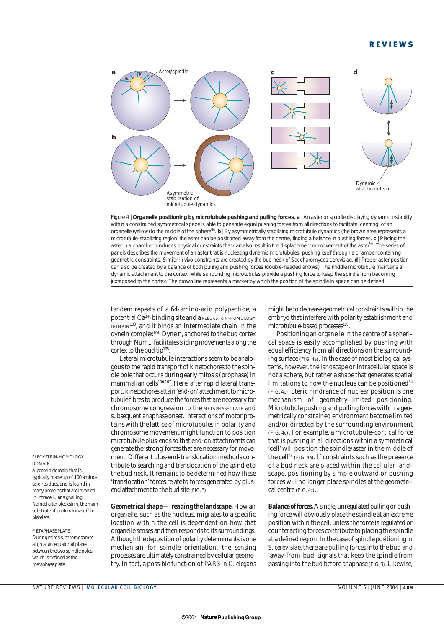

Figure 4 | **Organelle positioning by microtubule pushing and pulling forces. a** | An aster or spindle displaying dynamic instability within a constrained symmetrical space is able to generate equal pushing forces from all directions to facilitate 'centring' of an organelle (yellow) to the middle of the sphere94. **b** | By asymmetrically stabilizing microtubule dynamics (the brown area represents a microtubule-stabilizing region) the aster can be positioned away from the centre, finding a balance in pushing forces. **c** | Placing the aster in a chamber produces physical constraints that can also result in the displacement or movement of the aster<sup>96</sup>. The series of panels describes the movement of an aster that is nucleating dynamic microtubules, pushing itself through a chamber containing geometric constraints. Similar *in vivo* constraints are created by the bud neck of *Saccharomyces cerevisiae*. **d** | Proper aster position can also be created by a balance of both pulling and pushing forces (double-headed arrows). The middle microtubule maintains a dynamic attachment to the cortex, while surrounding microtubules provide a pushing force to keep the spindle from becoming juxtaposed to the cortex. The brown line represents a marker by which the position of the spindle in space can be defined.

tandem repeats of a 64-amino-acid polypeptide, a potential Ca<sup>2+</sup>-binding site and a PLECKSTRIN-HOMOLOGY DOMAIN103, and it binds an intermediate chain in the dynein complex104. Dynein, anchored to the bud cortex through Num1, facilitates sliding movements along the cortex to the bud tip<sup>105</sup>.

Lateral microtubule interactions seem to be analogous to the rapid transport of kinetochores to the spindle pole that occurs during early mitosis (prophase) in mammalian cells<sup>106,107</sup>. Here, after rapid lateral transport, kinetochores attain 'end-on' attachment to microtubule fibres to produce the forces that are necessary for chromosome congression to the METAPHASE PLATE and subsequent anaphase onset. Interactions of motor proteins with the lattice of microtubules in polarity and chromosome movement might function to position microtubule plus-ends so that end-on attachments can generate the 'strong' forces that are necessary for movement. Different plus-end-translocation methods contribute to searching and translocation of the spindle to the bud neck. It remains to be determined how these 'translocation' forces relate to forces generated by plusend attachment to the bud site (FIG. 3).

*Geometrical shape — reading the landscape.* How an organelle, such as the nucleus, migrates to a specific location within the cell is dependent on how that organelle senses and then responds to its surroundings. Although the deposition of polarity determinants is one mechanism for spindle orientation, the sensing processes are ultimately constrained by cellular geometry. In fact, a possible function of PAR3 in *C. elegans* might be to decrease geometrical constraints within the embryo that interfere with polarity establishment and microtubule-based processes<sup>108</sup>.

Positioning an organelle in the centre of a spherical space is easily accomplished by pushing with equal efficiency from all directions on the surrounding surface (FIG. 4a). In the case of most biological systems, however, the landscape or intracellular space is not a sphere, but rather a shape that generates spatial limitations to how the nucleus can be positioned $94$ (FIG. 4c). Steric hindrance of nuclear position is one mechanism of geometry-limited positioning. Microtubule pushing and pulling forces within a geometrically constrained environment become limited and/or directed by the surrounding environment (FIG. 4c). For example, a microtubule-cortical force that is pushing in all directions within a symmetrical 'cell' will position the spindle/aster in the middle of the cell94 (FIG. 4a). If constraints such as the presence of a bud neck are placed within the cellular landscape, positioning by simple outward or pushing forces will no longer place spindles at the geometrical centre (FIG. 4c).

*Balance of forces.*A single, unregulated pulling or pushing force will obviously place the spindle at an extreme position within the cell, unless the force is regulated or counteracting forces contribute to placing the spindle at a defined region. In the case of spindle positioning in *S. cerevisiae*, there are pulling forces into the bud and 'away-from-bud' signals that keep the spindle from passing into the bud before anaphase (FIG. 3). Likewise,

### PLECKSTRIN-HOMOLOGY DOMAIN

A protein domain that is typically made up of 100 aminoacid residues, and is found in many proteins that are involved in intracellular signalling. Named after pleckstrin, the main substrate of protein kinase C in platelets.

METAPHASE PLATE During mitosis, chromosomes align at an equatorial plane between the two spindle poles, which is defined as the metaphase plate.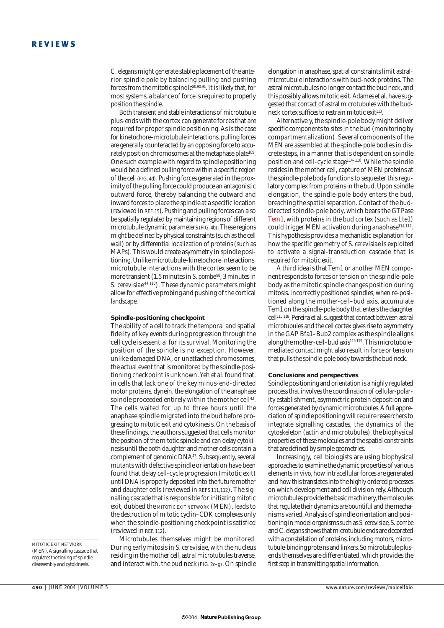*C. elegans* might generate stable placement of the anterior spindle pole by balancing pulling and pushing forces from the mitotic spindle80,90,91. It is likely that, for most systems, a balance of force is required to properly position the spindle.

Both transient and stable interactions of microtubule plus-ends with the cortex can generate forces that are required for proper spindle positioning. As is the case for kinetochore–microtubule interactions, pulling forces are generally counteracted by an opposing force to accurately position chromosomes at the metaphase plate<sup>109</sup>. One such example with regard to spindle positioning would be a defined pulling force within a specific region of the cell (FIG. 4d). Pushing forces generated in the proximity of the pulling force could produce an antagonistic outward force, thereby balancing the outward and inward forces to place the spindle at a specific location (reviewed in REF. 15). Pushing and pulling forces can also be spatially regulated by maintaining regions of different microtubule dynamic parameters (FIG. 4b). These regions might be defined by physical constraints (such as the cell wall) or by differential localization of proteins (such as MAPs). This would create asymmetry in spindle positioning. Unlike microtubule–kinetochore interactions, microtubule interactions with the cortex seem to be more transient (1.5 minutes in *S. pombe*<sup>98</sup>; 3 minutes in *S. cerevisiae* 44,110). These dynamic parameters might allow for effective probing and pushing of the cortical landscape.

### **Spindle-positioning checkpoint**

The ability of a cell to track the temporal and spatial fidelity of key events during progression through the cell cycle is essential for its survival. Monitoring the position of the spindle is no exception. However, unlike damaged DNA, or unattached chromosomes, the actual event that is monitored by the spindle-positioning checkpoint is unknown. Yeh *et al*. found that, in cells that lack one of the key minus-end-directed motor proteins, dynein, the elongation of the anaphase spindle proceeded entirely within the mother cell<sup>43</sup>. The cells waited for up to three hours until the anaphase spindle migrated into the bud before progressing to mitotic exit and cytokinesis. On the basis of these findings, the authors suggested that cells monitor the position of the mitotic spindle and can delay cytokinesis until the both daughter and mother cells contain a complement of genomic DNA<sup>43</sup>. Subsequently, several mutants with defective spindle orientation have been found that delay cell-cycle progression (mitotic exit) until DNA is properly deposited into the future mother and daughter cells (reviewed in REFS 111,112). The signalling cascade that is responsible for initiating mitotic exit, dubbed the MITOTIC EXIT NETWORK (MEN), leads to the destruction of mitotic cyclin–CDK complexes only when the spindle-positioning checkpoint is satisfied (reviewed in REF. 112).

Microtubules themselves might be monitored. During early mitosis in *S. cerevisiae*, with the nucleus residing in the mother cell, astral microtubules traverse, and interact with, the bud neck (FIG. 2c–g). On spindle elongation in anaphase, spatial constraints limit astralmicrotubule interactions with bud-neck proteins. The astral microtubules no longer contact the bud neck, and this possibly allows mitotic exit. Adames *et al*. have suggested that contact of astral microtubules with the budneck cortex suffices to restrain mitotic exit<sup>113</sup>.

Alternatively, the spindle-pole body might deliver specific components to sites in the bud (monitoring by compartmentalization). Several components of the MEN are assembled at the spindle-pole bodies in discrete steps, in a manner that is dependent on spindle position and cell-cycle stage<sup>114-116</sup>. While the spindle resides in the mother cell, capture of MEN proteins at the spindle-pole body functions to sequester this regulatory complex from proteins in the bud. Upon spindle elongation, the spindle-pole body enters the bud, breaching the spatial separation. Contact of the buddirected spindle-pole body, which bears the GTPase Tem1, with proteins in the bud cortex (such as Lte1) could trigger MEN activation during anaphase<sup>114,117</sup>. This hypothesis provides a mechanistic explanation for how the specific geometry of *S. cerevisiae* is exploited to activate a signal-transduction cascade that is required for mitotic exit.

A third idea is that Tem1 or another MEN component responds to forces or tension on the spindle-pole body as the mitotic spindle changes position during mitosis. Incorrectly positioned spindles, when re-positioned along the mother-cell–bud axis, accumulate Tem1 on the spindle-pole body that enters the daughter cell115,118. Pereira *et al*. suggest that contact between astral microtubules and the cell cortex gives rise to asymmetry in the GAP Bfa1–Bub2 complex as the spindle aligns along the mother-cell-bud axis<sup>115,119</sup>. This microtubulemediated contact might also result in force or tension that pulls the spindle-pole body towards the bud neck.

### **Conclusions and perspectives**

Spindle positioning and orientation is a highly regulated process that involves the coordination of cellular-polarity establishment, asymmetric protein deposition and forces generated by dynamic microtubules. A full appreciation of spindle positioning will require researchers to integrate signalling cascades, the dynamics of the cytoskeleton (actin and microtubules), the biophysical properties of these molecules and the spatial constraints that are defined by simple geometries.

Increasingly, cell biologists are using biophysical approaches to examine the dynamic properties of various elements *in vivo*, how intracellular forces are generated and how this translates into the highly ordered processes on which development and cell division rely. Although microtubules provide the basic machinery, the molecules that regulate their dynamics are bountiful and the mechanisms varied. Analysis of spindle orientation and positioning in model organisms such as *S. cerevisiae*, *S. pombe* and *C. elegans*shows that microtubule ends are decorated with a constellation of proteins, including motors, microtubule-binding proteins and linkers. So microtubule plusends themselves are differentiated, which provides the first step in transmitting spatial information.

MITOTIC EXIT NETWORK (MEN). A signalling cascade that regulates the timing of spindle disassembly and cytokinesis.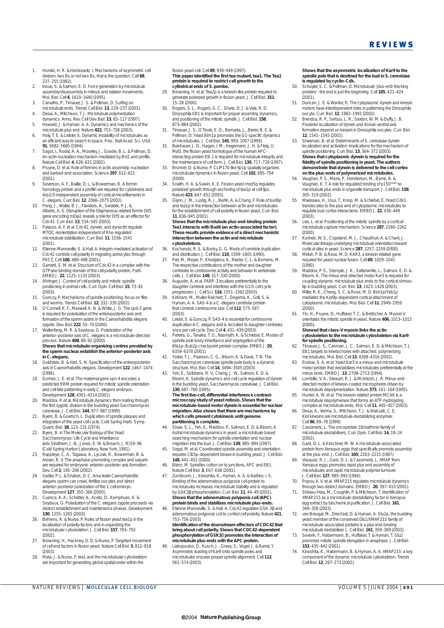- 1. Horvitz, H. R. & Herskowitz, I. Mechanisms of asymmetric cell division: two Bs or not two Bs, that is the question. *Cell* **68**, 237–255 (1992).
- 2. Inoue, S. & Salmon, E. D. Force generation by microtubule assembly/disassembly in mitosis and related movements. *Mol. Biol. Cell* **6**, 1619–1640 (1995).
- 3. Carvalho, P., Tirnauer, J. S. & Pellman, D. Surfing on microtubule ends. *Trends Cell Biol.* **13**, 229–237 (2003). 4. Desai, A., Mitchison, T. J. Microtubule polymerization
- dynamics. *Annu. Rev. Cell Dev. Biol.* **13**, 83–117 (1997).
- 5. Howard, J. & Hyman, A. A. Dynamics and mechanics of the microtubule plus end. *Nature* **422**, 753–758 (2003). 6. Holy, T. E. & Leibler, S. Dynamic instability of microtubules as
- an efficient way to search in space. *Proc. Natl Acad. Sci. USA* **91**, 5682–5685 (1994). 7. Sagot, I., Rodal, A. A., Moseley, J., Goode, B. L. & Pellman, D.
- An actin nucleation mechanism mediated by Bni1 and profilin. *Nature Cell Biol.* **4**, 626–631 (2002). 8. Pruyne, D. *et al.* Role of formins in actin assembly: nucleation
- and barbed-end association. *Science* **297**, 612–615 (2002).
- 9. Severson, A. F., Baillie, D. L. & Bowerman, B. A formin homology protein and a profilin are required for cytokinesis and Arp2/3-independent assembly of cortical microfilaments in *C. elegans*. *Curr. Biol.* **12**, 2066–2075 (2002).
- 10. Peng, J., Wallar, B. J., Flanders, A., Swiatek, P. J. & Alberts, A. S. Disruption of the Diaphanous-related formin *Drf1* gene encoding mDia1 reveals a role for Drf3 as an effector for Cdc42. *Curr. Biol.* **13**, 534–545 (2003).
- 11. Palazzo, A. F. *et al.* Cdc42, dynein, and dynactin regulate MTOC reorientation independent of Rho-regulated microtubule stabilization. *Curr. Biol.* **11**, 1536–1541  $(2001)$
- 12. Etienne-Manneville, S. & Hall, A. Integrin-mediated activation of Cdc42 controls cell polarity in migrating astrocytes through PKCζ. *Cell* **106**, 489–498 (2001).
- 13. Garrard, S. M. *et al.* Structure of Cdc42 in a complex with the GTPase-binding domain of the cell polarity protein, Par6. *EMBO J.* **22**, 1125–1133 (2003).
- 14. Ahringer, J. Control of cell polarity and mitotic spindle positioning in animal cells. *Curr. Opin. Cell Biol.* **15**, 73–81 .<br>(2003)
- 15. Gonczy, P. Mechanisms of spindle positioning: focus on flies and worms. *Trends Cell Biol.* **12**, 332–339 (2002). 16. O'Connell, K. F., Maxwell, K. N. & White, J. G. The *spd-2* gene
- is required for polarization of the anteroposterior axis and formation of the sperm asters in the *Caenorhabditis elegans* zygote. *Dev. Biol.* **222**, 55–70 (2000).
- 17. Wallenfang, M. R. & Seydoux, G. Polarization of the anterior–posterior axis of *C. elegans* is a microtubule-directed process. *Nature* **408**, 89–92 (2000). **Shows that microtubule-organizing centres provided by the sperm nucleus establish the anterior–posterior axis in** *C. elegans***.**
- 18. Goldstein, B. & Hird, S. N. Specification of the anteroposterior axis in *Caenorhabditis elegans*. *Development* **122**, 1467–1474  $(1996)$
- 19. Gomes, J. E. *et al.* The maternal gene *spn-4* encodes a predicted RRM protein required for mitotic spindle orientation and cell fate patterning in early *C. elegans* embryos.
- *Development* **128**, 4301–4314 (2001). 20. Maddox, P. *et al.* Microtubule dynamics from mating through the first zygotic division in the budding yeast *Saccharomyces cerevisiae*. *J. Cell Biol.* **144**, 977–987 (1999).
- Byers, B. & Goetsch, L. Duplication of spindle plaques and integration of the yeast cell cycle. *Cold Spring Harb. Symp. Quant. Biol.* **38**, 123–131 (1974).
- 22. Byers, B. in *The Molecular Biology of the Yeast Saccharomyces: Life Cycle and Inheritance* (eds Strathern, J. N., Jones, E. W. & Broach, J. R) 59–96
- (Cold Spring Harbor Laboratory, New York, 1981). 23. Rappleye, C. A., Tagawa, A., Lyczak, R., Bowerman, B. & Aroian, R. V. The anaphase-promoting complex and separin are required for embryonic anterior–posterior axis formation. *Dev. Cell* **2**, 195–206 (2002).
- 24. Sadler, P. L. & Shakes, D. C. Anucleate *Caenorhabditis elegans* sperm can crawl, fertilize oocytes and direct anterior–posterior polarization of the 1-cell embryo. *Development* **127**, 355–366 (2000).
- 25. Cuenca, A. A., Schetter, A., Aceto, D., Kemphues, K. & Seydoux, G. Polarization of the *C. elegans* zygote proceeds via distinct establishment and maintenance phases. *Development* **130**, 1255–1265 (2003).
- 26. Behrens, R. & Nurse, P. Roles of fission yeast tea1p in the localization of polarity factors and in organizing the microtubular cytoskeleton. *J. Cell Biol.* **157**, 783–793 (2002).
- 27. Browning, H., Hackney, D. D. & Nurse, P. Targeted movement of cell end factors in fission yeast. *Nature Cell Biol.* **5**, 812–818 (2003).
- 28. Mata, J. & Nurse, P. *tea1* and the microtubular cytoskeleton are important for generating global spatial order within the

fission yeast cell. *Cell* **89**, 939–949 (1997). **This paper identified the first** *tea* **mutant,** *tea1***. The Tea1 protein is required to restrict cell growth to the cylindrical ends of** *S***.** *pombe***.**

- 29. Browning, H. *et al.* Tea2p is a kinesin-like protein required to generate polarized growth in fission yeast. *J. Cell Biol.* **151**, 15–28 (2000).
- 30. Rogers, S. L., Rogers, G. C., Sharp, D. J. & Vale, R. D. *Drosophila* EB1 is important for proper assembly, dynamics, and positioning of the mitotic spindle. *J. Cell Biol.* **158**,
- 873–884 (2002). 31. Tirnauer, J. S., O'Toole, E. O., Berrueta, L., Bierer, B. E. & Pellman, D. Yeast Bim1p promotes the G1-specific dynamics of microtubules. *J. Cell Biol.* **145**, 993–1007 (1999).
- Beinhauer, J. D., Hagan, I. M., Hegemann, J. H. & Fleig, U. Mal3, the fission yeast homologue of the human APCinteracting protein EB-1 is required for microtubule integrity and the maintenance of cell form. *J. Cell Biol.* **139**, 717–728 (1997).
- 33. Brunner, D. & Nurse, P. CLIP170-like tip1p spatially organizes microtubular dynamics in fission yeast. *Cell* **102**, 695–704 (2000).
- 34. Snaith, H. A. & Sawin, K. E. Fission yeast mod5p regulates polarized growth through anchoring of tea1p at cell tips. *Nature* **423**, 647–651 (2003).
- 35. Glynn, J. M., Lustig, R. J., Berlin, A. & Chang, F. Role of bud6p and tea1p in the interaction between actin and microtubules for the establishment of cell polarity in fission yeast. *Curr. Biol.* **11**, 836–845 (2001).

**Shows that the microtubule plus-end-binding protein Tea1 interacts with Bud6 (an actin-associated factor). These results provide evidence of a direct mechanistic interaction between the actin and microtubule cytoskeletons.**

- 36. Kochanski, R. S. & Borisy, G. G. Mode of centriole duplication
- and distribution. *J. Cell Biol.* **110**, 1599–1605 (1990). 37. Piel, M., Meyer, P., Khodjakov, A., Rieder, C. L. & Bornens, M. The respective contributions of the mother and daughter centrioles to centrosome activity and behavior in vertebrate cells. *J. Cell Biol.* **149**, 317–330 (2000).
- 38. Augustin, A. *et al.* PARP-3 localizes preferentially to the daughter centriole and interferes with the G1/S cell cycle progression. *J. Cell Sci.* **116**, 1551–1562 (2003).
- 39. Kirkham, M., Muller-Reichert, T., Oegema, K., Grill, S. & Hyman, A. A. SAS-4 is a *C. elegans* centriolar protein that controls centrosome size. *Cell* **112**, 575–587  $(2003)$
- 40. Leidel, S. & Gonczy, P. SAS-4 is essential for centrosome duplication in *C. elegans* and is recruited to daughter centrioles once per cell cycle. *Dev. Cell* **4**, 431–439 (2003).
- 41. Pereira, G., Tanaka, T. U., Nasmyth, K. & Schiebel, E. Modes of spindle pole body inheritance and segregation of the Bfa1p–Bub2p checkpoint protein complex. *EMBO J.* **20**, 6359–6370 (2001).
- 42. Yoder, T. J. Pearson, C. G. Bloom, K. & Davis, T. N. The *Saccharomyces cerevisiae* spindle pole body is a dynamic
- structure. *Mol. Biol. Cell* **14**, 3494–3505 (2003). 43. Yeh, E., Skibbens, R. V., Cheng, J. W., Salmon, E. D. & Bloom, K. Spindle dynamics and cell cycle regulation of dynein in the budding yeast, *Saccharomyces cerevisiae*. *J. Cell Biol.* **130**, 687–700 (1995).

**The first live-cell, differential-interference contrastmicroscopy study of yeast mitosis. Shows that the microtubule-based motor dynein is essential for nuclear migration. Also shows that there are mechanisms by which cells prevent cytokinesis until genome**

- **partitioning is complete.** 44. Shaw, S. L., Yeh, E., Maddox, P., Salmon, E. D. & Bloom, K. Astral microtubule dynamics in yeast: a microtubule-based searching mechanism for spindle orientation and nuclear migration into the bud. *J. Cell Biol.* **139**, 985–994 (1997).
- 45. Segal, M. *et al.* Coordinated spindle assembly and orientation requires Clb5p-dependent kinase in budding yeast. *J. Cell Biol.* **148**, 441–452 (2000).
- 46. Bienz, M. Spindles cotton on to junctions, APC and EB1. *Nature Cell Biol.* **3**, E67–E68 (2001).
- 47. Zumbrunn, J., Kinoshita, K., Hyman, A. A. & Nathke, I. S. Binding of the adenomatous polyposis coli protein to microtubules increases microtubule stability and is regulated by GSK3β phosphorylation. *Curr. Biol.* **11**, 44–49 (2001). **Shows that the adenomatous polyposis coli (APC) protein binds and stabilizes microtubule plus-ends.**
- 48. Etienne-Manneville, S. & Hall, A. Cdc42 regulates GSK-3β and adenomatous polyposis coli to control cell polarity. *Nature* **421**, 753–756 (2003).

**Identification of the downstream effectors of CDC42 that bring about cell polarity. Shows that CDC42-dependent phosphorylation of GSK3**β **promotes the interaction of microtubule plus-ends with the APC protein.**

Liakopoulos, D., Kusch, J., Grava, S., Vogel, J. & Barral, Y. Asymmetric loading of Kar9 onto spindle poles and microtubules ensures proper spindle alignment. *Cell* **112**, 561–574 (2003).

#### **Shows that the asymmetric localization of Kar9 to the spindle pole that is destined for the bud in** *S. cerevisiae* **is regulated by cyclin–Cdk.**

- 50. Schuyler, S. C. & Pellman, D. Microtubule 'plus-end-tracking proteins': the end is just the beginning. *Cell* **105**, 421–424  $(2001)$
- 51. Duncan, J. E. & Warrior, R. The cytoplasmic dynein and kinesin motors have interdependent roles in patterning the *Drosophila* oocyte. *Curr. Biol.* **12**, 1982–1991 (2002).
- 52. Brendza, R. P., Serbus, L. R., Saxton, W. M. & Duffy, J. B. Posterior localization of dynein and dorsal–ventral axis formation depend on kinesin in *Drosophila* oocytes. *Curr. Biol.* **12**, 1541–1545 (2002).
- 53. Sheeman, B. *et al.* Determinants of *S. cerevisiae* dynein localization and activation: implications for the mechanism of spindle positioning. *Curr. Biol.* **13**, 364–372 (2003). **Shows that cytoplasmic dynein is required for the fidelity of spindle positioning in yeast. The authors demonstrate that dynein is delivered to the cell cortex**
- **on the plus-ends of polymerized microtubules.**<br>54. Vaughan, P. S., Miura, P., Henderson, M., Byrne, B. & Vaughan, K. T. A role for regulated binding of p150<sup>Glued</sup> to microtubule plus ends in organelle transport. *J. Cell Biol.* **158**, 305–319 (2002).
- 55. Maekawa, H., Usui, T., Knop, M. & Schiebel, E. Yeast Cdk1 translocates to the plus end of cytoplasmic microtubules to regulate bud cortex interactions. *EMBO J.* **22**, 438–449 (2003).
- 56. Lee, L. *et al.* Positioning of the mitotic spindle by a corticalmicrotubule capture mechanism. *Science* **287**, 2260–2262 (2000).
- 57. Korinek, W. S., Copeland, M. J., Chaudhuri, A. & Chant, J. Molecular linkage underlying microtubule orientation toward cortical sites in yeast. *Science* **287**, 2257–2259 (2000).
- 58. Meluh, P. B. & Rose, M. D. *KAR3*, a kinesin-related gene required for yeast nuclear fusion. *Cell* **60**, 1029–1041 (1990).
- 59. Maddox, P. S., Stemple, J. K., Satterwhite, L., Salmon, E. D. & Bloom, K. The minus end-directed motor Kar3 is required for coupling dynamic microtubule plus ends to the cortical shmoo
- tip in budding yeast. *Curr. Biol.* **13**, 1423–1428 (2003). 60. Miller, R. K., Cheng, S. C. & Rose, M. D. Bim1p/Yeb1p mediates the Kar9p-dependent cortical attachment of cytoplasmic microtubules. *Mol. Biol. Cell* **11**, 2949–2959 (2000).
- Yin, H., Pruyne, D., Huffaker, T. C. & Bretscher, A. Myosin V orientates the mitotic spindle in yeast. *Nature* **406**, 1013–1015 (2000)**.**

### **Showed that class-V myosin links the actin cytoskeleton to the microtubule cytoskeleton via Kar9 for spindle positioning.**

- 62. Tirnauer, J. S., Canman, J. C., Salmon, E. D. & Mitchison, T. J. EB1 targets to kinetochores with attached, polymerizing
- microtubules. *Mol. Biol. Cell* **13**, 4308–4316 (2002). 63. Endow, S. A. *et al.* Yeast Kar3 is a minus-end microtubule motor protein that destabilizes microtubules preferentially at the minus ends. *EMBO J.* **13**, 2708–2713 (1994).
- 64. Lombillo, V. A., Stewart, R. J. & McIntosh, J. R. Minus-enddirected motion of kinesin-coated microspheres driven by microtubule depolymerization. *Nature* **373**, 161–164 (1995).
- 65. Hunter, A. W. *et al.* The kinesin-related protein MCAK is a microtubule depolymerase that forms an ATP-hydrolyzing complex at microtubule ends. *Mol. Cell* **11**, 445–457 (2003).
- 66. Desai, A., Verma, S., Mitchison, T. J. & Walczak, C. E. KinI kinesins are microtubule-destabilizing enzymes. *Cell* **96**, 69–78 (1999).
- 67. Cassimeris, L. The oncoprotein 18/stathmin family of microtubule destabilizers. *Curr. Opin. Cell Biol.* **14**, 18–24  $(2002)$
- 68. Gard, D. L. & Kirschner, M. W. A microtubule-associated protein from *Xenopus* eggs that specifically promote assembly at the plus-end. *J. Cell Biol.* **105**, 2203–2215 (1987).
- 69. Vasquez, R. J., Gard, D. L. & Cassimeris, L. XMAP from *Xenopus* eggs promotes rapid plus end assembly of microtubules and rapid microtubule polymer turnover. *J. Cell Biol.* **127**, 985–993 (1994).
- 70. Popov, A. V. *et al.* XMAP215 regulates microtubule dynamics through two distinct domains. *EMBO J.* **20**, 397–410 (2001).
- 71. Shirasu-Hiza, M., Coughlin, P. & Mitchison, T. Identification of XMAP215 as a microtubule-destabilizing factor in *Xenopus* egg extract by biochemical purification. *J. Cell Biol.* **161**, 349–358 (2003).
- 72. van Breugal, M., Drechsel, D. & Hyman, A. Stu2p, the budding yeast member of the conserved Dis1/XMAP215 family of microtubule-associated proteins is a plus end-binding microtubule destabilizer. *J. Cell Biol.* **161**, 359–369 (2003).
- 73. Severin, F., Habermann, B., Huffaker, T. & Hyman, T. Stu2 promotes mitotic spindle elongation in anaphase. *J. Cell Biol.* **153**, 435–442 (2001).
- 74. Kinoshita, K., Habermann, B. & Hyman, A. A. XMAP215: a key component of the dynamic microtubule cytoskeleton. *Trends Cell Biol.* **12**, 267–273 (2002).